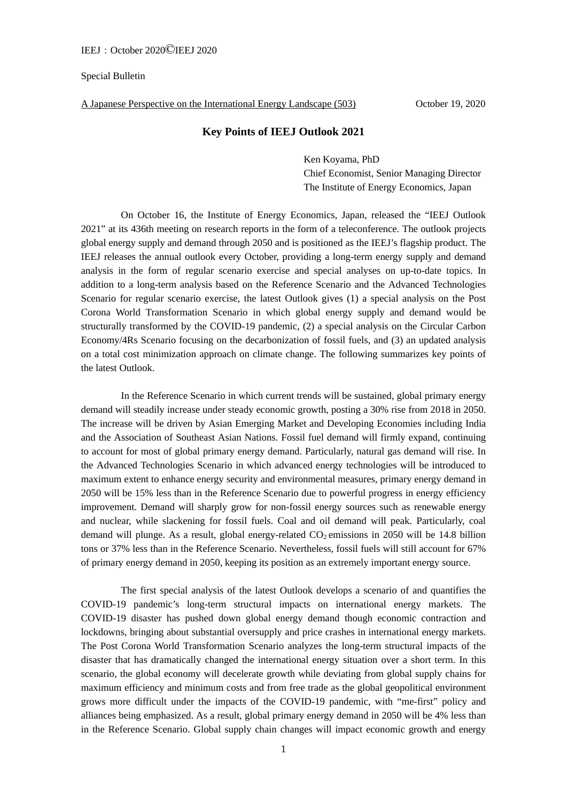## Special Bulletin

A Japanese Perspective on the International Energy Landscape (503) October 19, 2020

## **Key Points of IEEJ Outlook 2021**

Ken Koyama, PhD Chief Economist, Senior Managing Director The Institute of Energy Economics, Japan

On October 16, the Institute of Energy Economics, Japan, released the "IEEJ Outlook 2021" at its 436th meeting on research reports in the form of a teleconference. The outlook projects global energy supply and demand through 2050 and is positioned as the IEEJ's flagship product. The IEEJ releases the annual outlook every October, providing a long-term energy supply and demand analysis in the form of regular scenario exercise and special analyses on up-to-date topics. In addition to a long-term analysis based on the Reference Scenario and the Advanced Technologies Scenario for regular scenario exercise, the latest Outlook gives (1) a special analysis on the Post Corona World Transformation Scenario in which global energy supply and demand would be structurally transformed by the COVID-19 pandemic, (2) a special analysis on the Circular Carbon Economy/4Rs Scenario focusing on the decarbonization of fossil fuels, and (3) an updated analysis on a total cost minimization approach on climate change. The following summarizes key points of the latest Outlook.

In the Reference Scenario in which current trends will be sustained, global primary energy demand will steadily increase under steady economic growth, posting a 30% rise from 2018 in 2050. The increase will be driven by Asian Emerging Market and Developing Economies including India and the Association of Southeast Asian Nations. Fossil fuel demand will firmly expand, continuing to account for most of global primary energy demand. Particularly, natural gas demand will rise. In the Advanced Technologies Scenario in which advanced energy technologies will be introduced to maximum extent to enhance energy security and environmental measures, primary energy demand in 2050 will be 15% less than in the Reference Scenario due to powerful progress in energy efficiency improvement. Demand will sharply grow for non-fossil energy sources such as renewable energy and nuclear, while slackening for fossil fuels. Coal and oil demand will peak. Particularly, coal demand will plunge. As a result, global energy-related  $CO<sub>2</sub>$  emissions in 2050 will be 14.8 billion tons or 37% less than in the Reference Scenario. Nevertheless, fossil fuels will still account for 67% of primary energy demand in 2050, keeping its position as an extremely important energy source.

The first special analysis of the latest Outlook develops a scenario of and quantifies the COVID-19 pandemic's long-term structural impacts on international energy markets. The COVID-19 disaster has pushed down global energy demand though economic contraction and lockdowns, bringing about substantial oversupply and price crashes in international energy markets. The Post Corona World Transformation Scenario analyzes the long-term structural impacts of the disaster that has dramatically changed the international energy situation over a short term. In this scenario, the global economy will decelerate growth while deviating from global supply chains for maximum efficiency and minimum costs and from free trade as the global geopolitical environment grows more difficult under the impacts of the COVID-19 pandemic, with "me-first" policy and alliances being emphasized. As a result, global primary energy demand in 2050 will be 4% less than in the Reference Scenario. Global supply chain changes will impact economic growth and energy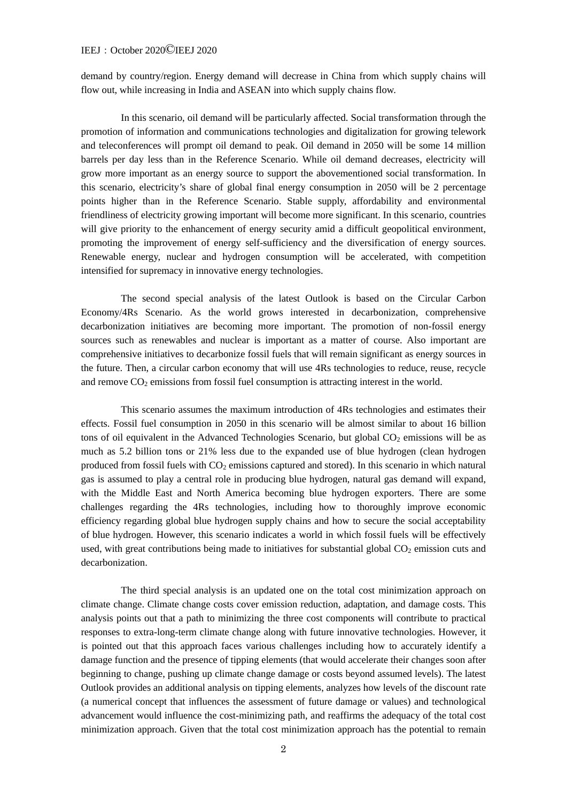## IEEJ:October 2020©IEEJ 2020

demand by country/region. Energy demand will decrease in China from which supply chains will flow out, while increasing in India and ASEAN into which supply chains flow.

In this scenario, oil demand will be particularly affected. Social transformation through the promotion of information and communications technologies and digitalization for growing telework and teleconferences will prompt oil demand to peak. Oil demand in 2050 will be some 14 million barrels per day less than in the Reference Scenario. While oil demand decreases, electricity will grow more important as an energy source to support the abovementioned social transformation. In this scenario, electricity's share of global final energy consumption in 2050 will be 2 percentage points higher than in the Reference Scenario. Stable supply, affordability and environmental friendliness of electricity growing important will become more significant. In this scenario, countries will give priority to the enhancement of energy security amid a difficult geopolitical environment, promoting the improvement of energy self-sufficiency and the diversification of energy sources. Renewable energy, nuclear and hydrogen consumption will be accelerated, with competition intensified for supremacy in innovative energy technologies.

The second special analysis of the latest Outlook is based on the Circular Carbon Economy/4Rs Scenario. As the world grows interested in decarbonization, comprehensive decarbonization initiatives are becoming more important. The promotion of non-fossil energy sources such as renewables and nuclear is important as a matter of course. Also important are comprehensive initiatives to decarbonize fossil fuels that will remain significant as energy sources in the future. Then, a circular carbon economy that will use 4Rs technologies to reduce, reuse, recycle and remove  $CO<sub>2</sub>$  emissions from fossil fuel consumption is attracting interest in the world.

This scenario assumes the maximum introduction of 4Rs technologies and estimates their effects. Fossil fuel consumption in 2050 in this scenario will be almost similar to about 16 billion tons of oil equivalent in the Advanced Technologies Scenario, but global  $CO<sub>2</sub>$  emissions will be as much as 5.2 billion tons or 21% less due to the expanded use of blue hydrogen (clean hydrogen produced from fossil fuels with  $CO<sub>2</sub>$  emissions captured and stored). In this scenario in which natural gas is assumed to play a central role in producing blue hydrogen, natural gas demand will expand, with the Middle East and North America becoming blue hydrogen exporters. There are some challenges regarding the 4Rs technologies, including how to thoroughly improve economic efficiency regarding global blue hydrogen supply chains and how to secure the social acceptability of blue hydrogen. However, this scenario indicates a world in which fossil fuels will be effectively used, with great contributions being made to initiatives for substantial global  $CO<sub>2</sub>$  emission cuts and decarbonization.

The third special analysis is an updated one on the total cost minimization approach on climate change. Climate change costs cover emission reduction, adaptation, and damage costs. This analysis points out that a path to minimizing the three cost components will contribute to practical responses to extra-long-term climate change along with future innovative technologies. However, it is pointed out that this approach faces various challenges including how to accurately identify a damage function and the presence of tipping elements (that would accelerate their changes soon after beginning to change, pushing up climate change damage or costs beyond assumed levels). The latest Outlook provides an additional analysis on tipping elements, analyzes how levels of the discount rate (a numerical concept that influences the assessment of future damage or values) and technological advancement would influence the cost-minimizing path, and reaffirms the adequacy of the total cost minimization approach. Given that the total cost minimization approach has the potential to remain